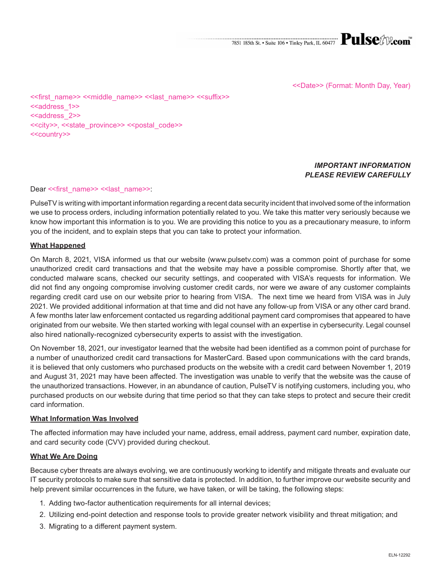<<Date>> (Format: Month Day, Year)

<<first\_name>> <<middle\_name>> <<last\_name>> <<suffix>> <<address\_1>> <<address 2>> <<city>>, <<state\_province>> <<postal\_code>> <<country>>

# *IMPORTANT INFORMATION PLEASE REVIEW CAREFULLY*

#### Dear << first\_name>> << last\_name>>:

PulseTV is writing with important information regarding a recent data security incident that involved some of the information we use to process orders, including information potentially related to you. We take this matter very seriously because we know how important this information is to you. We are providing this notice to you as a precautionary measure, to inform you of the incident, and to explain steps that you can take to protect your information.

#### **What Happened**

On March 8, 2021, VISA informed us that our website (www.pulsetv.com) was a common point of purchase for some unauthorized credit card transactions and that the website may have a possible compromise. Shortly after that, we conducted malware scans, checked our security settings, and cooperated with VISA's requests for information. We did not find any ongoing compromise involving customer credit cards, nor were we aware of any customer complaints regarding credit card use on our website prior to hearing from VISA. The next time we heard from VISA was in July 2021. We provided additional information at that time and did not have any follow-up from VISA or any other card brand. A few months later law enforcement contacted us regarding additional payment card compromises that appeared to have originated from our website. We then started working with legal counsel with an expertise in cybersecurity. Legal counsel also hired nationally-recognized cybersecurity experts to assist with the investigation.

On November 18, 2021, our investigator learned that the website had been identified as a common point of purchase for a number of unauthorized credit card transactions for MasterCard. Based upon communications with the card brands, it is believed that only customers who purchased products on the website with a credit card between November 1, 2019 and August 31, 2021 may have been affected. The investigation was unable to verify that the website was the cause of the unauthorized transactions. However, in an abundance of caution, PulseTV is notifying customers, including you, who purchased products on our website during that time period so that they can take steps to protect and secure their credit card information.

#### **What Information Was Involved**

The affected information may have included your name, address, email address, payment card number, expiration date, and card security code (CVV) provided during checkout.

#### **What We Are Doing**

Because cyber threats are always evolving, we are continuously working to identify and mitigate threats and evaluate our IT security protocols to make sure that sensitive data is protected. In addition, to further improve our website security and help prevent similar occurrences in the future, we have taken, or will be taking, the following steps:

- 1. Adding two-factor authentication requirements for all internal devices;
- 2. Utilizing end-point detection and response tools to provide greater network visibility and threat mitigation; and
- 3. Migrating to a different payment system.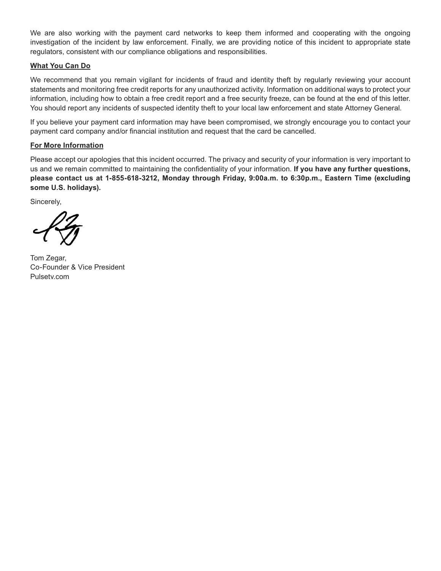We are also working with the payment card networks to keep them informed and cooperating with the ongoing investigation of the incident by law enforcement. Finally, we are providing notice of this incident to appropriate state regulators, consistent with our compliance obligations and responsibilities.

# **What You Can Do**

We recommend that you remain vigilant for incidents of fraud and identity theft by regularly reviewing your account statements and monitoring free credit reports for any unauthorized activity. Information on additional ways to protect your information, including how to obtain a free credit report and a free security freeze, can be found at the end of this letter. You should report any incidents of suspected identity theft to your local law enforcement and state Attorney General.

If you believe your payment card information may have been compromised, we strongly encourage you to contact your payment card company and/or financial institution and request that the card be cancelled.

### **For More Information**

Please accept our apologies that this incident occurred. The privacy and security of your information is very important to us and we remain committed to maintaining the confidentiality of your information. **If you have any further questions, please contact us at 1-855-618-3212, Monday through Friday, 9:00a.m. to 6:30p.m., Eastern Time (excluding some U.S. holidays).**

Sincerely,

Tom Zegar, Co-Founder & Vice President Pulsety.com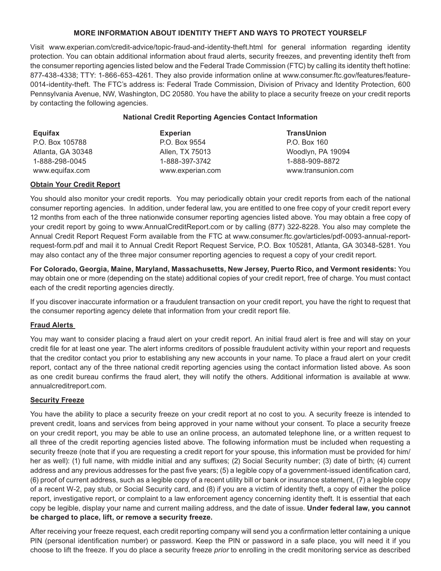# **MORE INFORMATION ABOUT IDENTITY THEFT AND WAYS TO PROTECT YOURSELF**

Visit www.experian.com/credit-advice/topic-fraud-and-identity-theft.html for general information regarding identity protection. You can obtain additional information about fraud alerts, security freezes, and preventing identity theft from the consumer reporting agencies listed below and the Federal Trade Commission (FTC) by calling its identity theft hotline: 877-438-4338; TTY: 1-866-653-4261. They also provide information online at www.consumer.ftc.gov/features/feature-0014-identity-theft. The FTC's address is: Federal Trade Commission, Division of Privacy and Identity Protection, 600 Pennsylvania Avenue, NW, Washington, DC 20580. You have the ability to place a security freeze on your credit reports by contacting the following agencies.

### **National Credit Reporting Agencies Contact Information**

| Equifax           | <b>Experian</b>  | <b>TransUnion</b>  |
|-------------------|------------------|--------------------|
| P.O. Box 105788   | P.O. Box 9554    | P.O. Box 160       |
| Atlanta, GA 30348 | Allen, TX 75013  | Woodlyn, PA 19094  |
| 1-888-298-0045    | 1-888-397-3742   | 1-888-909-8872     |
| www.equifax.com   | www.experian.com | www.transunion.com |

### **Obtain Your Credit Report**

You should also monitor your credit reports. You may periodically obtain your credit reports from each of the national consumer reporting agencies. In addition, under federal law, you are entitled to one free copy of your credit report every 12 months from each of the three nationwide consumer reporting agencies listed above. You may obtain a free copy of your credit report by going to www.AnnualCreditReport.com or by calling (877) 322-8228. You also may complete the Annual Credit Report Request Form available from the FTC at www.consumer.ftc.gov/articles/pdf-0093-annual-reportrequest-form.pdf and mail it to Annual Credit Report Request Service, P.O. Box 105281, Atlanta, GA 30348-5281. You may also contact any of the three major consumer reporting agencies to request a copy of your credit report.

**For Colorado, Georgia, Maine, Maryland, Massachusetts, New Jersey, Puerto Rico, and Vermont residents:** You may obtain one or more (depending on the state) additional copies of your credit report, free of charge. You must contact each of the credit reporting agencies directly.

If you discover inaccurate information or a fraudulent transaction on your credit report, you have the right to request that the consumer reporting agency delete that information from your credit report file.

# **Fraud Alerts**

You may want to consider placing a fraud alert on your credit report. An initial fraud alert is free and will stay on your credit file for at least one year. The alert informs creditors of possible fraudulent activity within your report and requests that the creditor contact you prior to establishing any new accounts in your name. To place a fraud alert on your credit report, contact any of the three national credit reporting agencies using the contact information listed above. As soon as one credit bureau confirms the fraud alert, they will notify the others. Additional information is available at www. annualcreditreport.com.

#### **Security Freeze**

You have the ability to place a security freeze on your credit report at no cost to you. A security freeze is intended to prevent credit, loans and services from being approved in your name without your consent. To place a security freeze on your credit report, you may be able to use an online process, an automated telephone line, or a written request to all three of the credit reporting agencies listed above. The following information must be included when requesting a security freeze (note that if you are requesting a credit report for your spouse, this information must be provided for him/ her as well): (1) full name, with middle initial and any suffixes; (2) Social Security number; (3) date of birth; (4) current address and any previous addresses for the past five years; (5) a legible copy of a government-issued identification card, (6) proof of current address, such as a legible copy of a recent utility bill or bank or insurance statement, (7) a legible copy of a recent W-2, pay stub, or Social Security card, and (8) if you are a victim of identity theft, a copy of either the police report, investigative report, or complaint to a law enforcement agency concerning identity theft. It is essential that each copy be legible, display your name and current mailing address, and the date of issue. **Under federal law, you cannot be charged to place, lift, or remove a security freeze.**

After receiving your freeze request, each credit reporting company will send you a confirmation letter containing a unique PIN (personal identification number) or password. Keep the PIN or password in a safe place, you will need it if you choose to lift the freeze. If you do place a security freeze *prior* to enrolling in the credit monitoring service as described